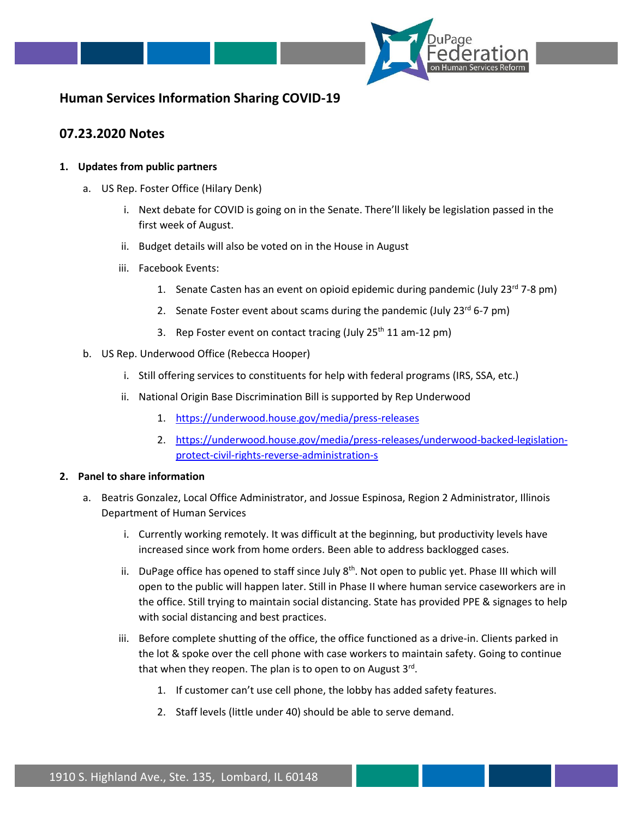

## **Human Services Information Sharing COVID-19**

## **07.23.2020 Notes**

## **1. Updates from public partners**

- a. US Rep. Foster Office (Hilary Denk)
	- i. Next debate for COVID is going on in the Senate. There'll likely be legislation passed in the first week of August.
	- ii. Budget details will also be voted on in the House in August
	- iii. Facebook Events:
		- 1. Senate Casten has an event on opioid epidemic during pandemic (July  $23^{rd}$  7-8 pm)
		- 2. Senate Foster event about scams during the pandemic (July  $23^{rd}$  6-7 pm)
		- 3. Rep Foster event on contact tracing (July  $25<sup>th</sup> 11$  am-12 pm)
- b. US Rep. Underwood Office (Rebecca Hooper)
	- i. Still offering services to constituents for help with federal programs (IRS, SSA, etc.)
	- ii. National Origin Base Discrimination Bill is supported by Rep Underwood
		- 1. <https://underwood.house.gov/media/press-releases>
		- 2. [https://underwood.house.gov/media/press-releases/underwood-backed-legislation](https://underwood.house.gov/media/press-releases/underwood-backed-legislation-protect-civil-rights-reverse-administration-s)[protect-civil-rights-reverse-administration-s](https://underwood.house.gov/media/press-releases/underwood-backed-legislation-protect-civil-rights-reverse-administration-s)

## **2. Panel to share information**

- a. Beatris Gonzalez, Local Office Administrator, and Jossue Espinosa, Region 2 Administrator, Illinois Department of Human Services
	- i. Currently working remotely. It was difficult at the beginning, but productivity levels have increased since work from home orders. Been able to address backlogged cases.
	- ii. DuPage office has opened to staff since July  $8<sup>th</sup>$ . Not open to public yet. Phase III which will open to the public will happen later. Still in Phase II where human service caseworkers are in the office. Still trying to maintain social distancing. State has provided PPE & signages to help with social distancing and best practices.
	- iii. Before complete shutting of the office, the office functioned as a drive-in. Clients parked in the lot & spoke over the cell phone with case workers to maintain safety. Going to continue that when they reopen. The plan is to open to on August 3<sup>rd</sup>.
		- 1. If customer can't use cell phone, the lobby has added safety features.
		- 2. Staff levels (little under 40) should be able to serve demand.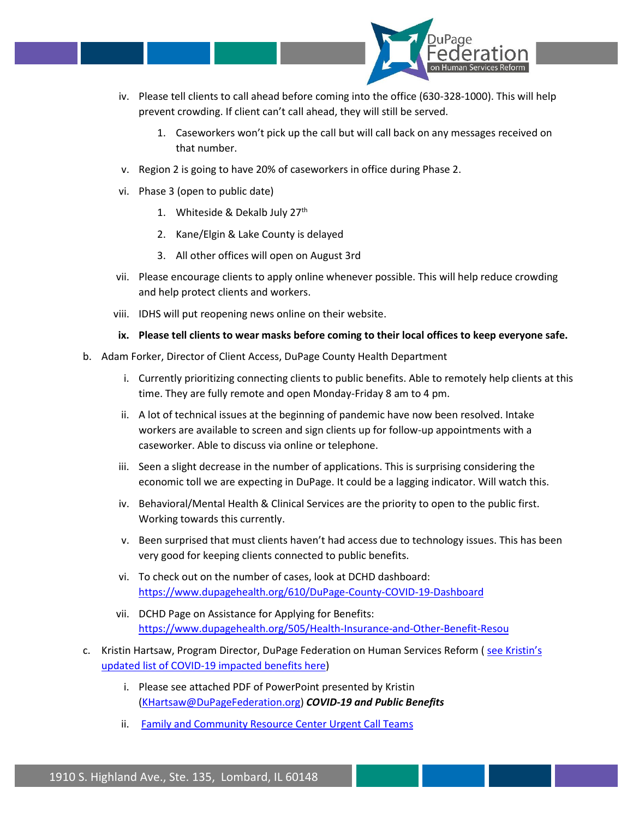

- iv. Please tell clients to call ahead before coming into the office (630-328-1000). This will help prevent crowding. If client can't call ahead, they will still be served.
	- 1. Caseworkers won't pick up the call but will call back on any messages received on that number.
- v. Region 2 is going to have 20% of caseworkers in office during Phase 2.
- vi. Phase 3 (open to public date)
	- 1. Whiteside & Dekalb July 27<sup>th</sup>
	- 2. Kane/Elgin & Lake County is delayed
	- 3. All other offices will open on August 3rd
- vii. Please encourage clients to apply online whenever possible. This will help reduce crowding and help protect clients and workers.
- viii. IDHS will put reopening news online on their website.
- **ix. Please tell clients to wear masks before coming to their local offices to keep everyone safe.**
- b. Adam Forker, Director of Client Access, DuPage County Health Department
	- i. Currently prioritizing connecting clients to public benefits. Able to remotely help clients at this time. They are fully remote and open Monday-Friday 8 am to 4 pm.
	- ii. A lot of technical issues at the beginning of pandemic have now been resolved. Intake workers are available to screen and sign clients up for follow-up appointments with a caseworker. Able to discuss via online or telephone.
	- iii. Seen a slight decrease in the number of applications. This is surprising considering the economic toll we are expecting in DuPage. It could be a lagging indicator. Will watch this.
	- iv. Behavioral/Mental Health & Clinical Services are the priority to open to the public first. Working towards this currently.
	- v. Been surprised that must clients haven't had access due to technology issues. This has been very good for keeping clients connected to public benefits.
	- vi. To check out on the number of cases, look at DCHD dashboard: <https://www.dupagehealth.org/610/DuPage-County-COVID-19-Dashboard>
	- vii. DCHD Page on Assistance for Applying for Benefits: <https://www.dupagehealth.org/505/Health-Insurance-and-Other-Benefit-Resou>
- c. Kristin Hartsaw, Program Director, DuPage Federation on Human Services Reform ( [see Kristin's](https://docs.google.com/document/d/1ZkwKVVw0HIX1EGnZZCliv2vSEEx24x0DNvYdKAqhVQ8/edit?usp=sharing) [updated list of COVID-19 impacted benefits here\)](https://docs.google.com/document/d/1ZkwKVVw0HIX1EGnZZCliv2vSEEx24x0DNvYdKAqhVQ8/edit?usp=sharing)
	- i. Please see attached PDF of PowerPoint presented by Kristin [\(KHartsaw@DuPageFederation.org\)](mailto:KHartsaw@DuPageFederation.org) *COVID-19 and Public Benefits*
	- ii. [Family and Community Resource Center Urgent Call Teams](https://www.dhs.state.il.us/page.aspx?item=123570)